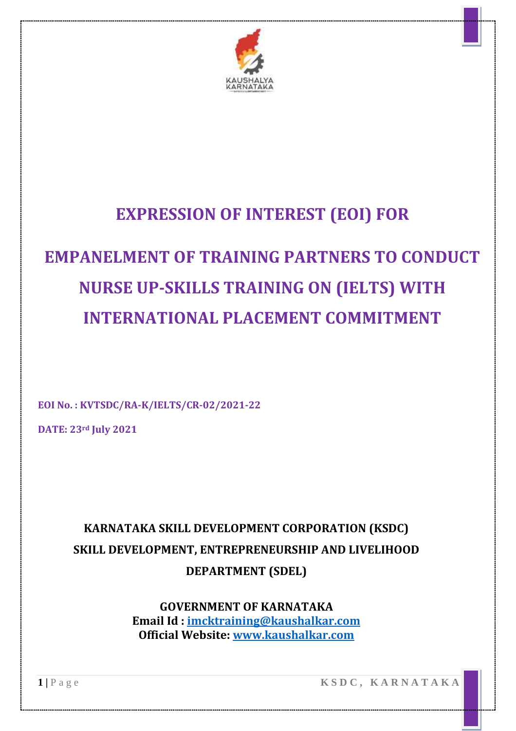

# **EXPRESSION OF INTEREST (EOI) FOR**

# **EMPANELMENT OF TRAINING PARTNERS TO CONDUCT NURSE UP-SKILLS TRAINING ON (IELTS) WITH INTERNATIONAL PLACEMENT COMMITMENT**

**EOI No. : KVTSDC/RA-K/IELTS/CR-02/2021-22**

**DATE: 23rd July 2021**

# **KARNATAKA SKILL DEVELOPMENT CORPORATION (KSDC) SKILL DEVELOPMENT, ENTREPRENEURSHIP AND LIVELIHOOD DEPARTMENT (SDEL)**

**GOVERNMENT OF KARNATAKA Email Id : [imcktraining@kaushalkar.com](mailto:imcktraining@kaushalkar.com) Official Website: [www.kaushalkar.com](http://www.kaushalkar.com/)**

**1 |** P a g e **K S D C , K A R N A T A K A**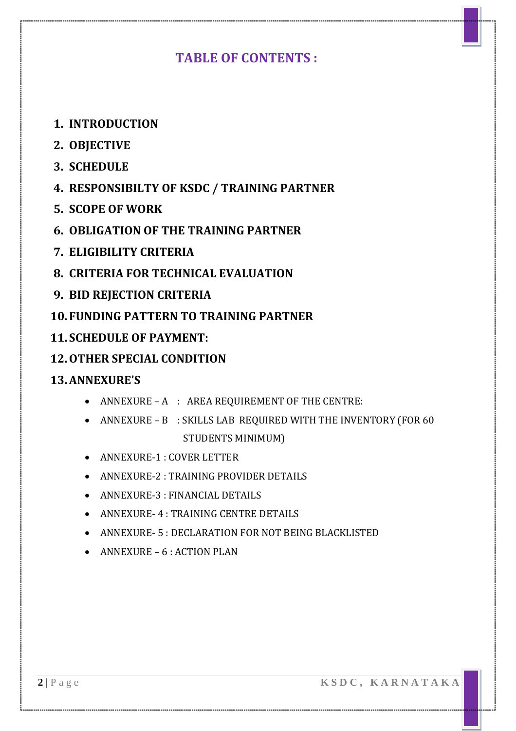### **TABLE OF CONTENTS :**

- **1. INTRODUCTION**
- **2. OBJECTIVE**
- **3. SCHEDULE**
- **4. RESPONSIBILTY OF KSDC / TRAINING PARTNER**
- **5. SCOPE OF WORK**
- **6. OBLIGATION OF THE TRAINING PARTNER**
- **7. ELIGIBILITY CRITERIA**
- **8. CRITERIA FOR TECHNICAL EVALUATION**
- **9. BID REJECTION CRITERIA**
- **10. FUNDING PATTERN TO TRAINING PARTNER**
- **11. SCHEDULE OF PAYMENT:**
- **12.OTHER SPECIAL CONDITION**

#### **13.ANNEXURE'S**

- ANNEXURE A : AREA REQUIREMENT OF THE CENTRE:
- ANNEXURE B : SKILLS LAB REQUIRED WITH THE INVENTORY (FOR 60 STUDENTS MINIMUM)
- ANNEXURE-1 : COVER LETTER
- ANNEXURE-2 : TRAINING PROVIDER DETAILS
- ANNEXURE-3 : FINANCIAL DETAILS
- ANNEXURE- 4 : TRAINING CENTRE DETAILS
- ANNEXURE- 5 : DECLARATION FOR NOT BEING BLACKLISTED
- $\bullet$  ANNEXURE 6 : ACTION PLAN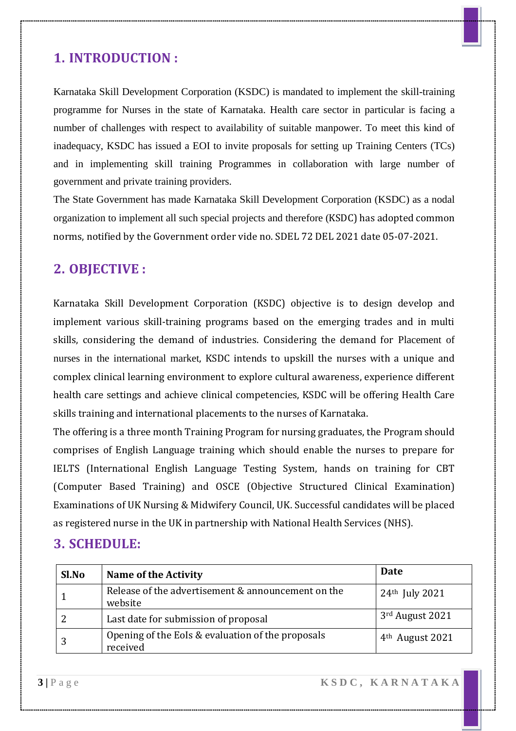### **1. INTRODUCTION :**

Karnataka Skill Development Corporation (KSDC) is mandated to implement the skill-training programme for Nurses in the state of Karnataka. Health care sector in particular is facing a number of challenges with respect to availability of suitable manpower. To meet this kind of inadequacy, KSDC has issued a EOI to invite proposals for setting up Training Centers (TCs) and in implementing skill training Programmes in collaboration with large number of government and private training providers.

The State Government has made Karnataka Skill Development Corporation (KSDC) as a nodal organization to implement all such special projects and therefore (KSDC) has adopted common norms, notified by the Government order vide no. SDEL 72 DEL 2021 date 05-07-2021.

### **2. OBJECTIVE :**

Karnataka Skill Development Corporation (KSDC) objective is to design develop and implement various skill-training programs based on the emerging trades and in multi skills, considering the demand of industries. Considering the demand for Placement of nurses in the international market, KSDC intends to upskill the nurses with a unique and complex clinical learning environment to explore cultural awareness, experience different health care settings and achieve clinical competencies, KSDC will be offering Health Care skills training and international placements to the nurses of Karnataka.

The offering is a three month Training Program for nursing graduates, the Program should comprises of English Language training which should enable the nurses to prepare for IELTS (International English Language Testing System, hands on training for CBT (Computer Based Training) and OSCE (Objective Structured Clinical Examination) Examinations of UK Nursing & Midwifery Council, UK. Successful candidates will be placed as registered nurse in the UK in partnership with National Health Services (NHS).

#### **3. SCHEDULE:**

| Sl.No | <b>Name of the Activity</b>                                   | Date                        |
|-------|---------------------------------------------------------------|-----------------------------|
|       | Release of the advertisement & announcement on the<br>website | 24th July 2021              |
|       | Last date for submission of proposal                          | 3rd August 2021             |
|       | Opening of the EoIs & evaluation of the proposals<br>received | 4 <sup>th</sup> August 2021 |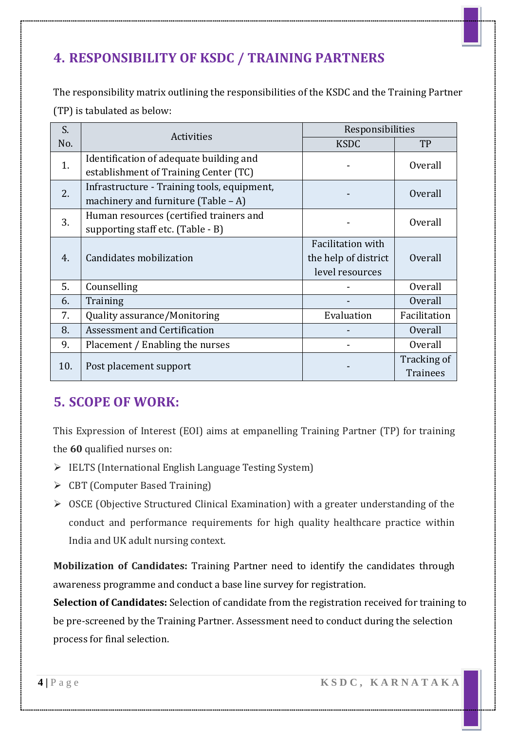# **4. RESPONSIBILITY OF KSDC / TRAINING PARTNERS**

The responsibility matrix outlining the responsibilities of the KSDC and the Training Partner (TP) is tabulated as below:

| S.  | Activities                                  | Responsibilities     |                 |
|-----|---------------------------------------------|----------------------|-----------------|
| No. |                                             | <b>KSDC</b>          | TP              |
| 1.  | Identification of adequate building and     |                      | Overall         |
|     | establishment of Training Center (TC)       |                      |                 |
| 2.  | Infrastructure - Training tools, equipment, |                      | Overall         |
|     | machinery and furniture (Table $-$ A)       |                      |                 |
| 3.  | Human resources (certified trainers and     |                      | <b>Overall</b>  |
|     | supporting staff etc. (Table - B)           |                      |                 |
|     |                                             | Facilitation with    |                 |
| 4.  | Candidates mobilization                     | the help of district | Overall         |
|     |                                             | level resources      |                 |
| 5.  | Counselling                                 |                      | Overall         |
| 6.  | Training                                    |                      | Overall         |
| 7.  | Quality assurance/Monitoring                | Evaluation           | Facilitation    |
| 8.  | <b>Assessment and Certification</b>         |                      | Overall         |
| 9.  | Placement / Enabling the nurses             |                      | Overall         |
| 10. |                                             |                      | Tracking of     |
|     | Post placement support                      |                      | <b>Trainees</b> |

### **5. SCOPE OF WORK:**

This Expression of Interest (EOI) aims at empanelling Training Partner (TP) for training the **60** qualified nurses on:

- $\triangleright$  IELTS (International English Language Testing System)
- CBT (Computer Based Training)
- $\triangleright$  OSCE (Objective Structured Clinical Examination) with a greater understanding of the conduct and performance requirements for high quality healthcare practice within India and UK adult nursing context.

**Mobilization of Candidates:** Training Partner need to identify the candidates through awareness programme and conduct a base line survey for registration.

**Selection of Candidates:** Selection of candidate from the registration received for training to be pre-screened by the Training Partner. Assessment need to conduct during the selection process for final selection.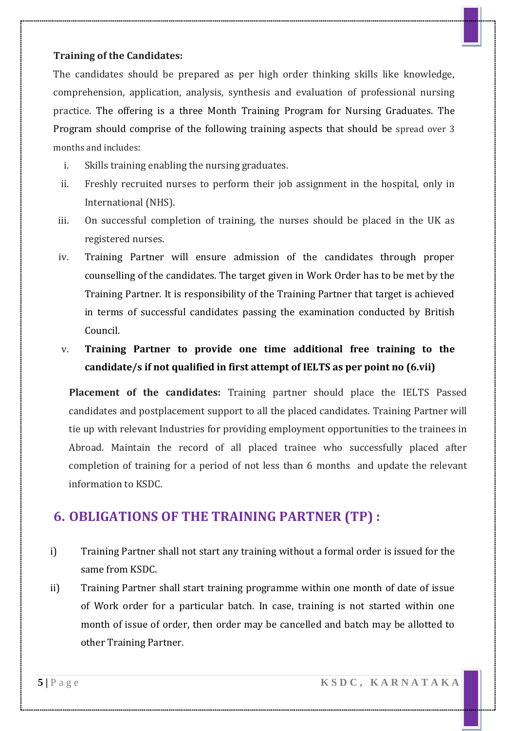#### **Training of the Candidates:**

The candidates should be prepared as per high order thinking skills like knowledge, comprehension, application, analysis, synthesis and evaluation of professional nursing practice. The offering is a three Month Training Program for Nursing Graduates. The Program should comprise of the following training aspects that should be spread over 3 months and includes:

- i. Skills training enabling the nursing graduates.
- ii. Freshly recruited nurses to perform their job assignment in the hospital, only in International (NHS).
- iii. On successful completion of training, the nurses should be placed in the UK as registered nurses.
- iv. Training Partner will ensure admission of the candidates through proper counselling of the candidates. The target given in Work Order has to be met by the Training Partner. It is responsibility of the Training Partner that target is achieved in terms of successful candidates passing the examination conducted by British Council.
- v. **Training Partner to provide one time additional free training to the candidate/s if not qualified in first attempt of IELTS as per point no (6.vii)**

**Placement of the candidates:** Training partner should place the IELTS Passed candidates and postplacement support to all the placed candidates. Training Partner will tie up with relevant Industries for providing employment opportunities to the trainees in Abroad. Maintain the record of all placed trainee who successfully placed after completion of training for a period of not less than 6 months and update the relevant information to KSDC.

#### **6. OBLIGATIONS OF THE TRAINING PARTNER (TP) :**

- i) Training Partner shall not start any training without a formal order is issued for the same from KSDC.
- ii) Training Partner shall start training programme within one month of date of issue of Work order for a particular batch. In case, training is not started within one month of issue of order, then order may be cancelled and batch may be allotted to other Training Partner.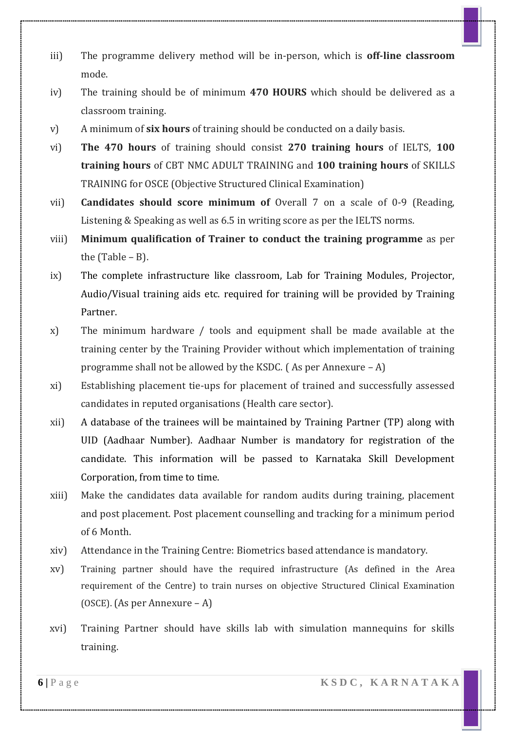- iii) The programme delivery method will be in-person, which is **off-line classroom** mode.
- iv) The training should be of minimum **470 HOURS** which should be delivered as a classroom training.
- v) A minimum of **six hours** of training should be conducted on a daily basis.
- vi) **The 470 hours** of training should consist **270 training hours** of IELTS, **100 training hours** of CBT NMC ADULT TRAINING and **100 training hours** of SKILLS TRAINING for OSCE (Objective Structured Clinical Examination)
- vii) **Candidates should score minimum of** Overall 7 on a scale of 0-9 (Reading, Listening & Speaking as well as 6.5 in writing score as per the IELTS norms.
- viii) **Minimum qualification of Trainer to conduct the training programme** as per the (Table – B).
- ix) The complete infrastructure like classroom, Lab for Training Modules, Projector, Audio/Visual training aids etc. required for training will be provided by Training Partner.
- x) The minimum hardware / tools and equipment shall be made available at the training center by the Training Provider without which implementation of training programme shall not be allowed by the KSDC. ( As per Annexure – A)
- xi) Establishing placement tie-ups for placement of trained and successfully assessed candidates in reputed organisations (Health care sector).
- xii) A database of the trainees will be maintained by Training Partner (TP) along with UID (Aadhaar Number). Aadhaar Number is mandatory for registration of the candidate. This information will be passed to Karnataka Skill Development Corporation, from time to time.
- xiii) Make the candidates data available for random audits during training, placement and post placement. Post placement counselling and tracking for a minimum period of 6 Month.
- xiv) Attendance in the Training Centre: Biometrics based attendance is mandatory.
- xv) Training partner should have the required infrastructure (As defined in the Area requirement of the Centre) to train nurses on objective Structured Clinical Examination (OSCE). (As per Annexure – A)
- xvi) Training Partner should have skills lab with simulation mannequins for skills training.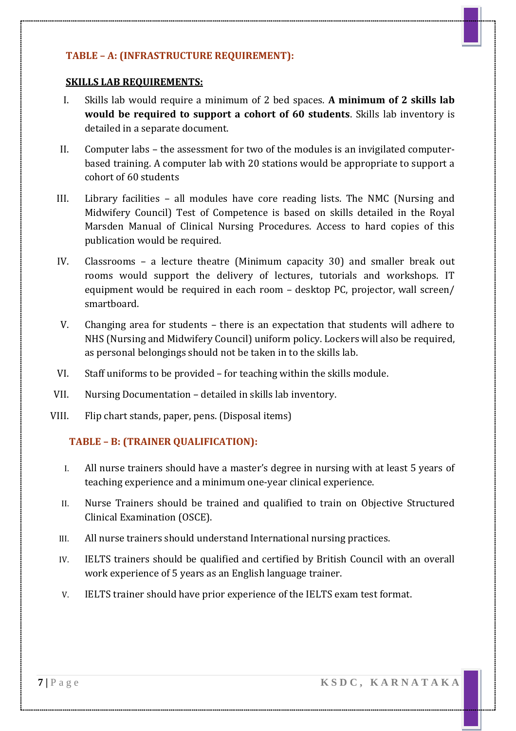#### **TABLE – A: (INFRASTRUCTURE REQUIREMENT):**

#### **SKILLS LAB REQUIREMENTS:**

- I. Skills lab would require a minimum of 2 bed spaces. **A minimum of 2 skills lab would be required to support a cohort of 60 students**. Skills lab inventory is detailed in a separate document.
- II. Computer labs the assessment for two of the modules is an invigilated computerbased training. A computer lab with 20 stations would be appropriate to support a cohort of 60 students
- III. Library facilities all modules have core reading lists. The NMC (Nursing and Midwifery Council) Test of Competence is based on skills detailed in the Royal Marsden Manual of Clinical Nursing Procedures. Access to hard copies of this publication would be required.
- IV. Classrooms a lecture theatre (Minimum capacity 30) and smaller break out rooms would support the delivery of lectures, tutorials and workshops. IT equipment would be required in each room – desktop PC, projector, wall screen/ smartboard.
- V. Changing area for students there is an expectation that students will adhere to NHS (Nursing and Midwifery Council) uniform policy. Lockers will also be required, as personal belongings should not be taken in to the skills lab.
- VI. Staff uniforms to be provided for teaching within the skills module.
- VII. Nursing Documentation detailed in skills lab inventory.
- VIII. Flip chart stands, paper, pens. (Disposal items)

#### **TABLE – B: (TRAINER QUALIFICATION):**

- I. All nurse trainers should have a master's degree in nursing with at least 5 years of teaching experience and a minimum one-year clinical experience.
- II. Nurse Trainers should be trained and qualified to train on Objective Structured Clinical Examination (OSCE).
- III. All nurse trainers should understand International nursing practices.
- IV. IELTS trainers should be qualified and certified by British Council with an overall work experience of 5 years as an English language trainer.
- V. IELTS trainer should have prior experience of the IELTS exam test format.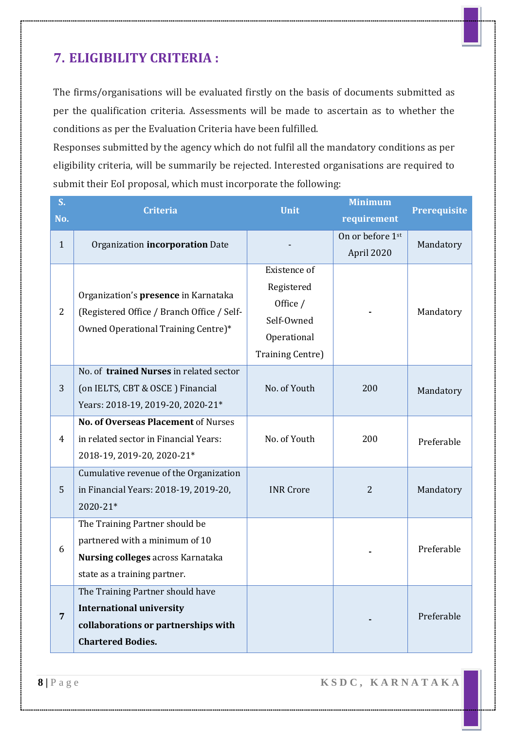## **7. ELIGIBILITY CRITERIA :**

The firms/organisations will be evaluated firstly on the basis of documents submitted as per the qualification criteria. Assessments will be made to ascertain as to whether the conditions as per the Evaluation Criteria have been fulfilled.

Responses submitted by the agency which do not fulfil all the mandatory conditions as per eligibility criteria, will be summarily be rejected. Interested organisations are required to submit their EoI proposal, which must incorporate the following:

| S <sub>1</sub><br>No. | <b>Criteria</b>                                                                                                                              | <b>Unit</b>                                                                                    | <b>Minimum</b><br>requirement  | <b>Prerequisite</b> |
|-----------------------|----------------------------------------------------------------------------------------------------------------------------------------------|------------------------------------------------------------------------------------------------|--------------------------------|---------------------|
| $\mathbf{1}$          | Organization incorporation Date                                                                                                              |                                                                                                | On or before 1st<br>April 2020 | Mandatory           |
| $\overline{2}$        | Organization's presence in Karnataka<br>(Registered Office / Branch Office / Self-<br>Owned Operational Training Centre)*                    | Existence of<br>Registered<br>Office /<br>Self-Owned<br>Operational<br><b>Training Centre)</b> |                                | Mandatory           |
| 3                     | No. of trained Nurses in related sector<br>(on IELTS, CBT & OSCE) Financial<br>Years: 2018-19, 2019-20, 2020-21*                             | No. of Youth                                                                                   | 200                            | Mandatory           |
| 4                     | No. of Overseas Placement of Nurses<br>in related sector in Financial Years:<br>2018-19, 2019-20, 2020-21*                                   | No. of Youth                                                                                   | 200                            | Preferable          |
| 5                     | Cumulative revenue of the Organization<br>in Financial Years: 2018-19, 2019-20,<br>2020-21*                                                  | <b>INR Crore</b>                                                                               | $\overline{2}$                 | Mandatory           |
| 6                     | The Training Partner should be<br>partnered with a minimum of 10<br><b>Nursing colleges across Karnataka</b><br>state as a training partner. |                                                                                                |                                | Preferable          |
| $\overline{7}$        | The Training Partner should have<br><b>International university</b><br>collaborations or partnerships with<br><b>Chartered Bodies.</b>       |                                                                                                |                                | Preferable          |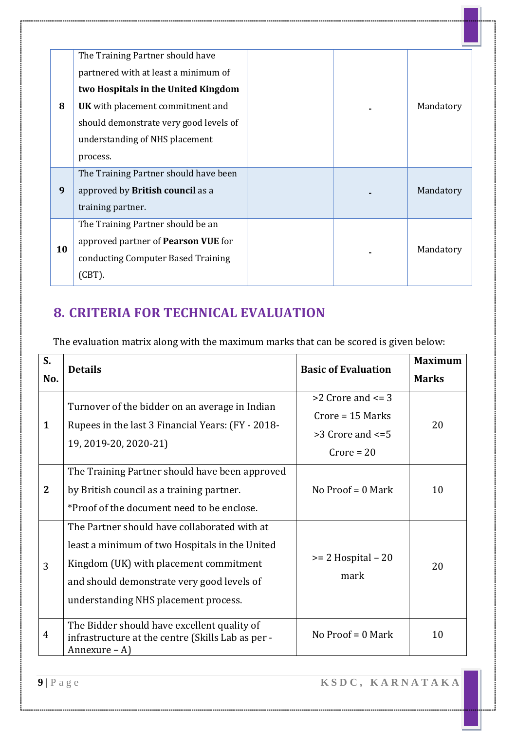|    | The Training Partner should have        |  |           |
|----|-----------------------------------------|--|-----------|
|    | partnered with at least a minimum of    |  |           |
|    | two Hospitals in the United Kingdom     |  |           |
| 8  | <b>UK</b> with placement commitment and |  | Mandatory |
|    | should demonstrate very good levels of  |  |           |
|    | understanding of NHS placement          |  |           |
|    | process.                                |  |           |
|    | The Training Partner should have been   |  |           |
| 9  | approved by <b>British council</b> as a |  | Mandatory |
|    | training partner.                       |  |           |
|    | The Training Partner should be an       |  |           |
|    | approved partner of Pearson VUE for     |  |           |
| 10 | conducting Computer Based Training      |  | Mandatory |
|    | $(CBT)$ .                               |  |           |
|    |                                         |  |           |

# **8. CRITERIA FOR TECHNICAL EVALUATION**

The evaluation matrix along with the maximum marks that can be scored is given below:

| S.             | <b>Details</b>                                                                                                                                                                                                                 | <b>Basic of Evaluation</b>                                                             | <b>Maximum</b> |
|----------------|--------------------------------------------------------------------------------------------------------------------------------------------------------------------------------------------------------------------------------|----------------------------------------------------------------------------------------|----------------|
| No.            |                                                                                                                                                                                                                                |                                                                                        | <b>Marks</b>   |
| $\mathbf{1}$   | Turnover of the bidder on an average in Indian<br>Rupees in the last 3 Financial Years: (FY - 2018-<br>19, 2019-20, 2020-21)                                                                                                   | $>2$ Crore and $\leq$ 3<br>$Core = 15$ Marks<br>$>3$ Crore and $\leq 5$<br>$Core = 20$ | 20             |
| $\mathbf{2}$   | The Training Partner should have been approved<br>by British council as a training partner.<br>*Proof of the document need to be enclose.                                                                                      | No Proof = $0$ Mark                                                                    | 10             |
| 3              | The Partner should have collaborated with at<br>least a minimum of two Hospitals in the United<br>Kingdom (UK) with placement commitment<br>and should demonstrate very good levels of<br>understanding NHS placement process. | $>= 2$ Hospital $-20$<br>mark                                                          | 20             |
| $\overline{4}$ | The Bidder should have excellent quality of<br>infrastructure at the centre (Skills Lab as per -<br>Annexure $-A$ )                                                                                                            | No $Proof = 0$ Mark                                                                    | 10             |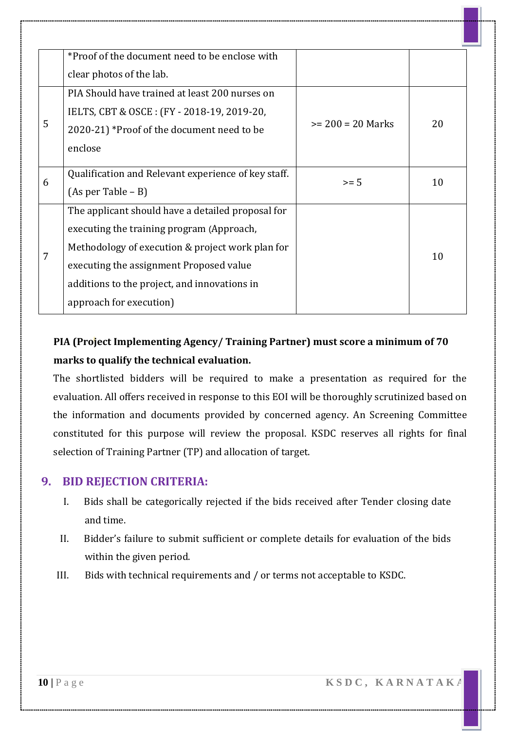|   | *Proof of the document need to be enclose with      |                     |    |
|---|-----------------------------------------------------|---------------------|----|
|   | clear photos of the lab.                            |                     |    |
|   | PIA Should have trained at least 200 nurses on      |                     |    |
|   | IELTS, CBT & OSCE: (FY - 2018-19, 2019-20,          |                     |    |
| 5 | 2020-21) *Proof of the document need to be          | $>= 200 = 20$ Marks | 20 |
|   | enclose                                             |                     |    |
|   |                                                     |                     |    |
| 6 | Qualification and Relevant experience of key staff. | $>= 5$              | 10 |
|   | $(As per Table - B)$                                |                     |    |
|   | The applicant should have a detailed proposal for   |                     |    |
|   | executing the training program (Approach,           |                     |    |
| 7 | Methodology of execution & project work plan for    |                     | 10 |
|   | executing the assignment Proposed value             |                     |    |
|   | additions to the project, and innovations in        |                     |    |
|   | approach for execution)                             |                     |    |

### **PIA (Project Implementing Agency/ Training Partner) must score a minimum of 70 marks to qualify the technical evaluation.**

The shortlisted bidders will be required to make a presentation as required for the evaluation. All offers received in response to this EOI will be thoroughly scrutinized based on the information and documents provided by concerned agency. An Screening Committee constituted for this purpose will review the proposal. KSDC reserves all rights for final selection of Training Partner (TP) and allocation of target.

#### **9. BID REJECTION CRITERIA:**

- I. Bids shall be categorically rejected if the bids received after Tender closing date and time.
- II. Bidder's failure to submit sufficient or complete details for evaluation of the bids within the given period.
- III. Bids with technical requirements and / or terms not acceptable to KSDC.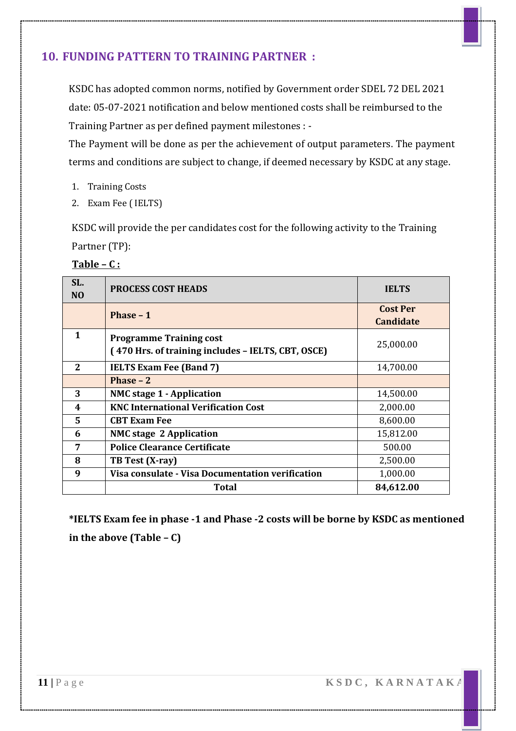#### **10. FUNDING PATTERN TO TRAINING PARTNER :**

KSDC has adopted common norms, notified by Government order SDEL 72 DEL 2021 date: 05-07-2021 notification and below mentioned costs shall be reimbursed to the Training Partner as per defined payment milestones : -

The Payment will be done as per the achievement of output parameters. The payment terms and conditions are subject to change, if deemed necessary by KSDC at any stage.

- 1. Training Costs
- 2. Exam Fee ( IELTS)

KSDC will provide the per candidates cost for the following activity to the Training Partner (TP):

| SL.<br>N <sub>O</sub> | <b>PROCESS COST HEADS</b>                                                            | <b>IELTS</b>                        |
|-----------------------|--------------------------------------------------------------------------------------|-------------------------------------|
|                       | Phase $-1$                                                                           | <b>Cost Per</b><br><b>Candidate</b> |
| 1                     | <b>Programme Training cost</b><br>(470 Hrs. of training includes - IELTS, CBT, OSCE) | 25,000.00                           |
| 2                     | <b>IELTS Exam Fee (Band 7)</b>                                                       | 14,700.00                           |
|                       | Phase $-2$                                                                           |                                     |
| 3                     | <b>NMC stage 1 - Application</b>                                                     | 14,500.00                           |
| 4                     | <b>KNC International Verification Cost</b>                                           | 2,000.00                            |
| 5                     | <b>CBT Exam Fee</b>                                                                  | 8,600.00                            |
| 6                     | <b>NMC</b> stage 2 Application                                                       | 15,812.00                           |
| 7                     | <b>Police Clearance Certificate</b>                                                  | 500.00                              |
| 8                     | TB Test (X-ray)                                                                      | 2,500.00                            |
| 9                     | Visa consulate - Visa Documentation verification                                     | 1,000.00                            |
|                       | Total                                                                                | 84,612.00                           |

| mı<br>а | ρ |  |  |
|---------|---|--|--|
|         |   |  |  |

**\*IELTS Exam fee in phase -1 and Phase -2 costs will be borne by KSDC as mentioned in the above (Table – C)**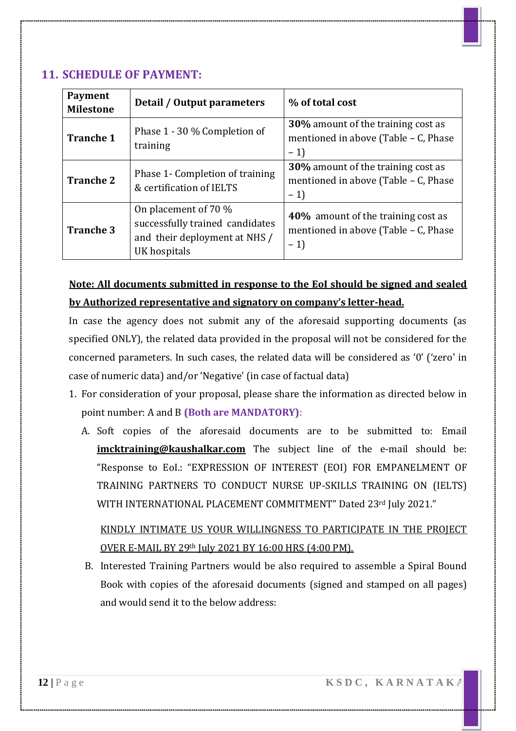#### **11. SCHEDULE OF PAYMENT:**

| <b>Payment</b><br><b>Milestone</b> | Detail / Output parameters                                                                               | % of total cost                                                                           |
|------------------------------------|----------------------------------------------------------------------------------------------------------|-------------------------------------------------------------------------------------------|
| <b>Tranche 1</b>                   | Phase 1 - 30 % Completion of<br>training                                                                 | <b>30%</b> amount of the training cost as<br>mentioned in above (Table - C, Phase<br>$-1$ |
| <b>Tranche 2</b>                   | Phase 1- Completion of training<br>& certification of IELTS                                              | <b>30%</b> amount of the training cost as<br>mentioned in above (Table - C, Phase<br>$-1$ |
| <b>Tranche 3</b>                   | On placement of 70 %<br>successfully trained candidates<br>and their deployment at NHS /<br>UK hospitals | 40% amount of the training cost as<br>mentioned in above (Table - C, Phase<br>$-1$        |

### **Note: All documents submitted in response to the EoI should be signed and sealed by Authorized representative and signatory on company's letter-head.**

In case the agency does not submit any of the aforesaid supporting documents (as specified ONLY), the related data provided in the proposal will not be considered for the concerned parameters. In such cases, the related data will be considered as '0' ('zero' in case of numeric data) and/or 'Negative' (in case of factual data)

- 1. For consideration of your proposal, please share the information as directed below in point number: A and B **(Both are MANDATORY)**:
	- A. Soft copies of the aforesaid documents are to be submitted to: Email **imcktraining@kaushalkar.com** The subject line of the e-mail should be: "Response to EoI.: "EXPRESSION OF INTEREST (EOI) FOR EMPANELMENT OF TRAINING PARTNERS TO CONDUCT NURSE UP-SKILLS TRAINING ON (IELTS) WITH INTERNATIONAL PLACEMENT COMMITMENT" Dated 23rd July 2021."

### KINDLY INTIMATE US YOUR WILLINGNESS TO PARTICIPATE IN THE PROJECT OVER E-MAIL BY 29th July 2021 BY 16:00 HRS (4:00 PM).

B. Interested Training Partners would be also required to assemble a Spiral Bound Book with copies of the aforesaid documents (signed and stamped on all pages) and would send it to the below address: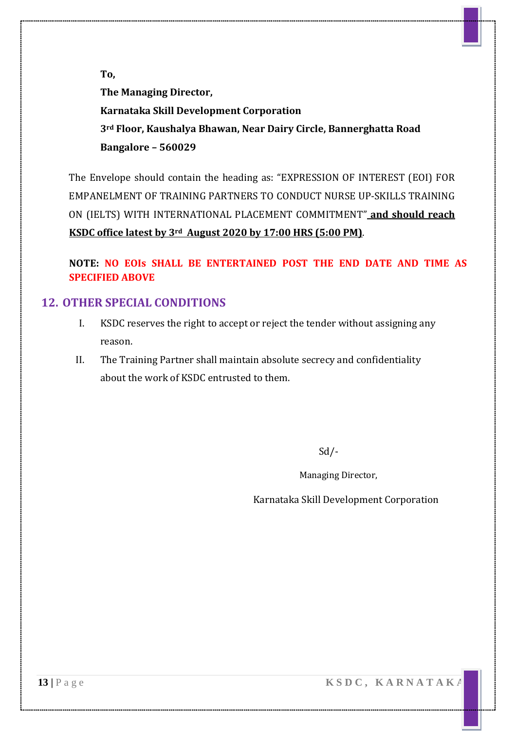**To,**

**The Managing Director, Karnataka Skill Development Corporation 3rd Floor, Kaushalya Bhawan, Near Dairy Circle, Bannerghatta Road Bangalore – 560029**

The Envelope should contain the heading as: "EXPRESSION OF INTEREST (EOI) FOR EMPANELMENT OF TRAINING PARTNERS TO CONDUCT NURSE UP-SKILLS TRAINING ON (IELTS) WITH INTERNATIONAL PLACEMENT COMMITMENT" **and should reach KSDC office latest by 3rd August 2020 by 17:00 HRS (5:00 PM)**.

**NOTE: NO EOIs SHALL BE ENTERTAINED POST THE END DATE AND TIME AS SPECIFIED ABOVE**

#### **12. OTHER SPECIAL CONDITIONS**

- I. KSDC reserves the right to accept or reject the tender without assigning any reason.
- II. The Training Partner shall maintain absolute secrecy and confidentiality about the work of KSDC entrusted to them.

Sd/-

Managing Director,

Karnataka Skill Development Corporation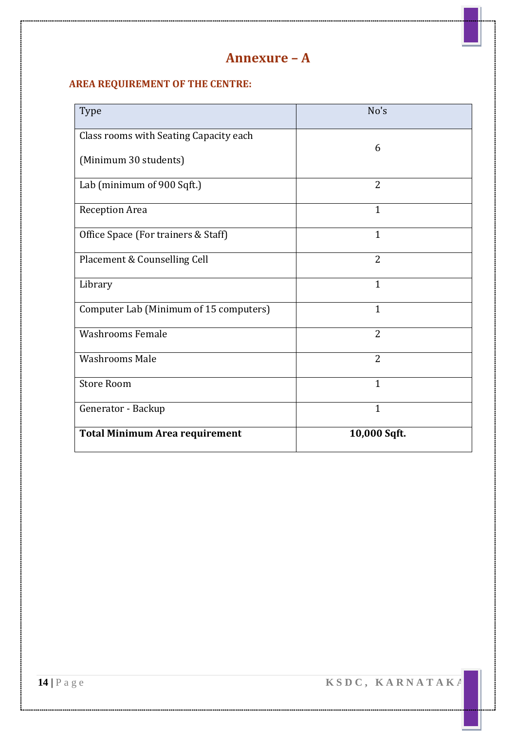### **Annexure – A**

#### **AREA REQUIREMENT OF THE CENTRE:**

| Type                                   | No's           |
|----------------------------------------|----------------|
| Class rooms with Seating Capacity each |                |
| (Minimum 30 students)                  | 6              |
| Lab (minimum of 900 Sqft.)             | $\overline{2}$ |
| Reception Area                         | 1              |
| Office Space (For trainers & Staff)    | $\mathbf{1}$   |
| Placement & Counselling Cell           | $\overline{2}$ |
| Library                                | 1              |
| Computer Lab (Minimum of 15 computers) | $\mathbf{1}$   |
| <b>Washrooms Female</b>                | $\overline{2}$ |
| <b>Washrooms Male</b>                  | $\overline{2}$ |
| <b>Store Room</b>                      | $\mathbf{1}$   |
| Generator - Backup                     | $\mathbf{1}$   |
| <b>Total Minimum Area requirement</b>  | 10,000 Sqft.   |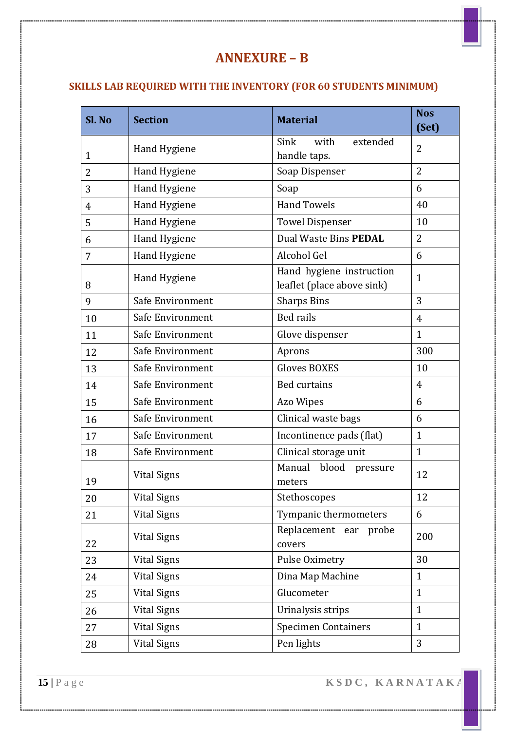### **ANNEXURE – B**

### **SKILLS LAB REQUIRED WITH THE INVENTORY (FOR 60 STUDENTS MINIMUM)**

| Sl. No         | <b>Section</b>      | <b>Material</b>                                        | <b>Nos</b><br>(Set) |
|----------------|---------------------|--------------------------------------------------------|---------------------|
| $\mathbf{1}$   | Hand Hygiene        | with<br>extended<br>Sink<br>handle taps.               | 2                   |
| 2              | Hand Hygiene        | Soap Dispenser                                         | $\overline{2}$      |
| 3              | Hand Hygiene        | Soap                                                   | 6                   |
| $\overline{4}$ | Hand Hygiene        | <b>Hand Towels</b>                                     | 40                  |
| 5              | Hand Hygiene        | <b>Towel Dispenser</b>                                 | 10                  |
| 6              | Hand Hygiene        | Dual Waste Bins PEDAL                                  | $\overline{2}$      |
| 7              | Hand Hygiene        | Alcohol Gel                                            | 6                   |
| 8              | <b>Hand Hygiene</b> | Hand hygiene instruction<br>leaflet (place above sink) | $\mathbf{1}$        |
| 9              | Safe Environment    | <b>Sharps Bins</b>                                     | 3                   |
| 10             | Safe Environment    | <b>Bed rails</b>                                       | $\overline{4}$      |
| 11             | Safe Environment    | Glove dispenser                                        | $\mathbf{1}$        |
| 12             | Safe Environment    | Aprons                                                 | 300                 |
| 13             | Safe Environment    | <b>Gloves BOXES</b>                                    | 10                  |
| 14             | Safe Environment    | <b>Bed curtains</b>                                    | $\overline{4}$      |
| 15             | Safe Environment    | Azo Wipes                                              | 6                   |
| 16             | Safe Environment    | Clinical waste bags                                    | 6                   |
| 17             | Safe Environment    | Incontinence pads (flat)                               | $\mathbf{1}$        |
| 18             | Safe Environment    | Clinical storage unit                                  | $\mathbf{1}$        |
| 19             | <b>Vital Signs</b>  | blood<br>Manual<br>pressure<br>meters                  | 12                  |
| 20             | <b>Vital Signs</b>  | Stethoscopes                                           | 12                  |
| 21             | <b>Vital Signs</b>  | Tympanic thermometers                                  | 6                   |
| 22             | <b>Vital Signs</b>  | Replacement ear probe<br>covers                        | 200                 |
| 23             | <b>Vital Signs</b>  | Pulse Oximetry                                         | 30                  |
| 24             | <b>Vital Signs</b>  | Dina Map Machine                                       | $\mathbf{1}$        |
| 25             | <b>Vital Signs</b>  | Glucometer                                             | $\mathbf{1}$        |
| 26             | <b>Vital Signs</b>  | Urinalysis strips                                      | $\mathbf{1}$        |
| 27             | <b>Vital Signs</b>  | <b>Specimen Containers</b>                             | $\mathbf{1}$        |
| 28             | <b>Vital Signs</b>  | Pen lights                                             | 3                   |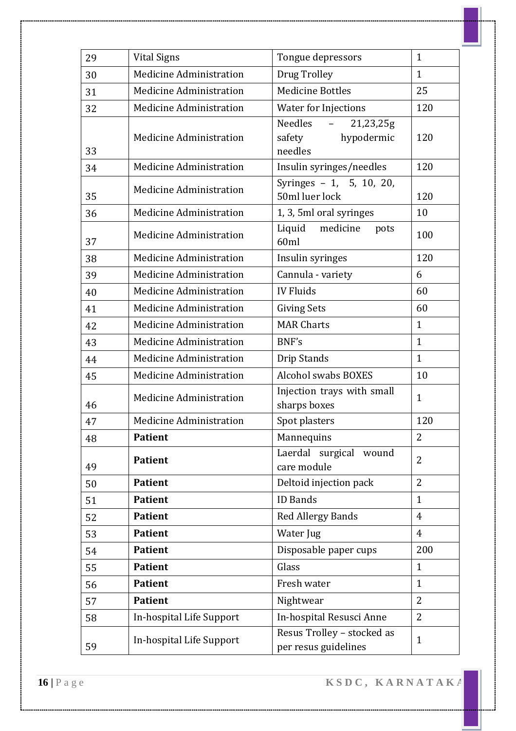| 29 | <b>Vital Signs</b>             | Tongue depressors                                       | $\mathbf{1}$   |
|----|--------------------------------|---------------------------------------------------------|----------------|
| 30 | <b>Medicine Administration</b> | Drug Trolley                                            | $\mathbf{1}$   |
| 31 | <b>Medicine Administration</b> | <b>Medicine Bottles</b>                                 | 25             |
| 32 | <b>Medicine Administration</b> | <b>Water for Injections</b>                             | 120            |
| 33 | <b>Medicine Administration</b> | Needles<br>21,23,25g<br>hypodermic<br>safety<br>needles | 120            |
| 34 | <b>Medicine Administration</b> | Insulin syringes/needles                                | 120            |
| 35 | <b>Medicine Administration</b> | Syringes - 1, 5, 10, 20,<br>50ml luer lock              | 120            |
| 36 | <b>Medicine Administration</b> | 1, 3, 5ml oral syringes                                 | 10             |
| 37 | <b>Medicine Administration</b> | Liquid medicine<br>pots<br>60ml                         | 100            |
| 38 | <b>Medicine Administration</b> | Insulin syringes                                        | 120            |
| 39 | <b>Medicine Administration</b> | Cannula - variety                                       | 6              |
| 40 | <b>Medicine Administration</b> | <b>IV Fluids</b>                                        | 60             |
| 41 | <b>Medicine Administration</b> | <b>Giving Sets</b>                                      | 60             |
| 42 | <b>Medicine Administration</b> | <b>MAR Charts</b>                                       | $\mathbf{1}$   |
| 43 | <b>Medicine Administration</b> | BNF's                                                   | $\mathbf{1}$   |
| 44 | <b>Medicine Administration</b> | Drip Stands                                             | $\mathbf{1}$   |
| 45 | <b>Medicine Administration</b> | <b>Alcohol swabs BOXES</b>                              | 10             |
| 46 | <b>Medicine Administration</b> | Injection trays with small<br>sharps boxes              | $\mathbf{1}$   |
| 47 | <b>Medicine Administration</b> | Spot plasters                                           | 120            |
| 48 | Patient                        | Mannequins                                              | $\overline{2}$ |
| 49 | <b>Patient</b>                 | Laerdal surgical<br>wound<br>care module                | 2              |
| 50 | <b>Patient</b>                 | Deltoid injection pack                                  | $\overline{2}$ |
| 51 | <b>Patient</b>                 | <b>ID Bands</b>                                         | $\mathbf{1}$   |
| 52 | <b>Patient</b>                 | <b>Red Allergy Bands</b>                                | $\overline{4}$ |
| 53 | <b>Patient</b>                 | Water Jug                                               | $\overline{4}$ |
| 54 | <b>Patient</b>                 | Disposable paper cups                                   | 200            |
| 55 | <b>Patient</b>                 | Glass                                                   | $\mathbf{1}$   |
| 56 | <b>Patient</b>                 | Fresh water                                             | $\mathbf{1}$   |
| 57 | <b>Patient</b>                 | Nightwear                                               | 2              |
| 58 | In-hospital Life Support       | In-hospital Resusci Anne                                | 2              |
| 59 | In-hospital Life Support       | Resus Trolley - stocked as<br>per resus guidelines      | $\mathbf{1}$   |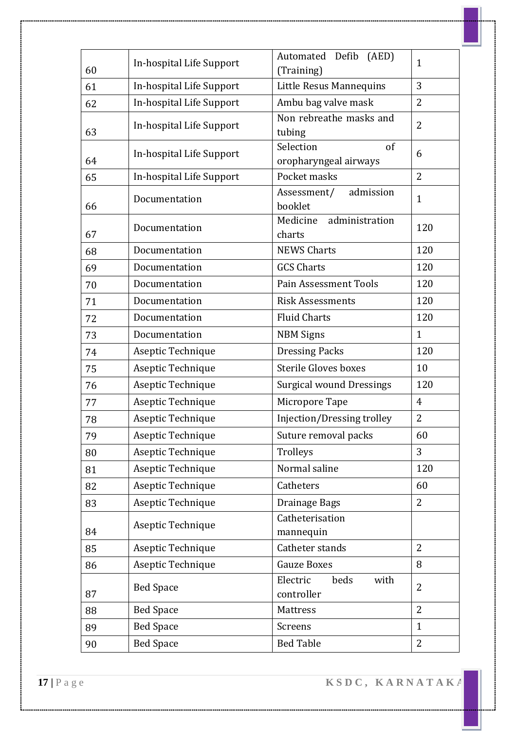|          | In-hospital Life Support | Automated Defib<br>(AED)                       | $\mathbf{1}$   |  |
|----------|--------------------------|------------------------------------------------|----------------|--|
| 60<br>61 | In-hospital Life Support | (Training)<br>Little Resus Mannequins          | 3              |  |
|          | In-hospital Life Support |                                                | 2              |  |
| 62       |                          | Ambu bag valve mask<br>Non rebreathe masks and |                |  |
| 63       | In-hospital Life Support | tubing                                         | $\overline{2}$ |  |
|          |                          | Selection<br>of                                |                |  |
| 64       | In-hospital Life Support | oropharyngeal airways                          | 6              |  |
| 65       | In-hospital Life Support | Pocket masks                                   | 2              |  |
| 66       | Documentation            | Assessment/<br>admission<br>booklet            | $\mathbf{1}$   |  |
| 67       | Documentation            | Medicine<br>administration<br>charts           | 120            |  |
| 68       | Documentation            | <b>NEWS Charts</b>                             | 120            |  |
| 69       | Documentation            | <b>GCS Charts</b>                              | 120            |  |
| 70       | Documentation            | <b>Pain Assessment Tools</b>                   | 120            |  |
| 71       | Documentation            | <b>Risk Assessments</b>                        | 120            |  |
| 72       | Documentation            | <b>Fluid Charts</b>                            | 120            |  |
| 73       | Documentation            | <b>NBM Signs</b>                               | $\mathbf{1}$   |  |
| 74       | Aseptic Technique        | <b>Dressing Packs</b>                          | 120            |  |
| 75       | Aseptic Technique        | <b>Sterile Gloves boxes</b>                    | 10             |  |
| 76       | Aseptic Technique        | <b>Surgical wound Dressings</b>                | 120            |  |
| 77       | Aseptic Technique        | Micropore Tape                                 | $\overline{4}$ |  |
| 78       | Aseptic Technique        | Injection/Dressing trolley                     | 2              |  |
| 79       | Aseptic Technique        | Suture removal packs                           | 60             |  |
| 80       | Aseptic Technique        | Trolleys                                       | 3              |  |
| 81       | Aseptic Technique        | Normal saline                                  | 120            |  |
| 82       | Aseptic Technique        | Catheters                                      | 60             |  |
| 83       | Aseptic Technique        | Drainage Bags                                  | $\overline{2}$ |  |
| 84       | Aseptic Technique        | Catheterisation<br>mannequin                   |                |  |
| 85       | Aseptic Technique        | Catheter stands                                | $\overline{2}$ |  |
| 86       | Aseptic Technique        | <b>Gauze Boxes</b>                             | 8              |  |
| 87       | <b>Bed Space</b>         | with<br>Electric<br>beds<br>controller         | $\overline{2}$ |  |
| 88       | <b>Bed Space</b>         | Mattress                                       | $\overline{2}$ |  |
| 89       | <b>Bed Space</b>         | Screens                                        | $\mathbf{1}$   |  |
| 90       | <b>Bed Space</b>         | <b>Bed Table</b>                               | $\overline{2}$ |  |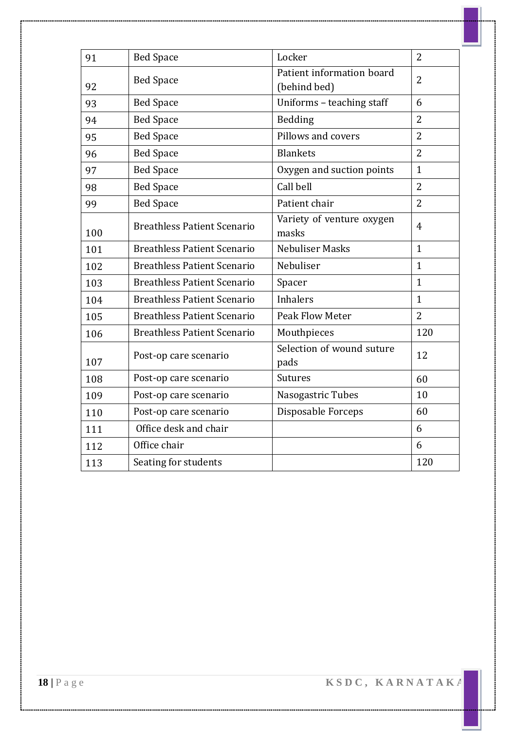| 91  | <b>Bed Space</b>                   | Locker                                    | $\overline{2}$ |
|-----|------------------------------------|-------------------------------------------|----------------|
| 92  | <b>Bed Space</b>                   | Patient information board<br>(behind bed) | $\overline{2}$ |
| 93  | <b>Bed Space</b>                   | Uniforms - teaching staff                 | 6              |
| 94  | <b>Bed Space</b>                   | Bedding                                   | $\overline{2}$ |
| 95  | <b>Bed Space</b>                   | Pillows and covers                        | $\overline{2}$ |
| 96  | <b>Bed Space</b>                   | <b>Blankets</b>                           | $\overline{2}$ |
| 97  | <b>Bed Space</b>                   | Oxygen and suction points                 | $\mathbf{1}$   |
| 98  | <b>Bed Space</b>                   | Call bell                                 | $\overline{2}$ |
| 99  | <b>Bed Space</b>                   | Patient chair                             | $\overline{2}$ |
| 100 | <b>Breathless Patient Scenario</b> | Variety of venture oxygen<br>masks        | $\overline{4}$ |
| 101 | <b>Breathless Patient Scenario</b> | Nebuliser Masks                           | $\mathbf{1}$   |
| 102 | <b>Breathless Patient Scenario</b> | Nebuliser                                 | $\mathbf{1}$   |
| 103 | <b>Breathless Patient Scenario</b> | Spacer                                    | $\mathbf{1}$   |
| 104 | <b>Breathless Patient Scenario</b> | <b>Inhalers</b>                           | $\mathbf{1}$   |
| 105 | <b>Breathless Patient Scenario</b> | <b>Peak Flow Meter</b>                    | $\overline{2}$ |
| 106 | <b>Breathless Patient Scenario</b> | Mouthpieces                               | 120            |
| 107 | Post-op care scenario              | Selection of wound suture<br>pads         | 12             |
| 108 | Post-op care scenario              | <b>Sutures</b>                            | 60             |
| 109 | Post-op care scenario              | Nasogastric Tubes                         | 10             |
| 110 | Post-op care scenario              | Disposable Forceps                        | 60             |
| 111 | Office desk and chair              |                                           | 6              |
| 112 | Office chair                       |                                           | 6              |
| 113 | Seating for students               |                                           | 120            |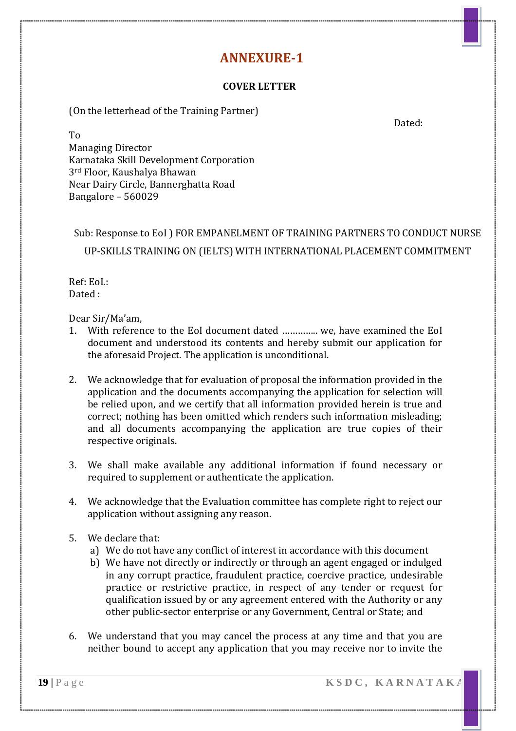#### **COVER LETTER**

(On the letterhead of the Training Partner)

Dated:

To Managing Director Karnataka Skill Development Corporation 3rd Floor, Kaushalya Bhawan Near Dairy Circle, Bannerghatta Road Bangalore – 560029

### Sub: Response to EoI ) FOR EMPANELMENT OF TRAINING PARTNERS TO CONDUCT NURSE UP-SKILLS TRAINING ON (IELTS) WITH INTERNATIONAL PLACEMENT COMMITMENT

Ref: EoI.: Dated :

#### Dear Sir/Ma'am,

- 1. With reference to the EoI document dated ………….. we, have examined the EoI document and understood its contents and hereby submit our application for the aforesaid Project. The application is unconditional.
- 2. We acknowledge that for evaluation of proposal the information provided in the application and the documents accompanying the application for selection will be relied upon, and we certify that all information provided herein is true and correct; nothing has been omitted which renders such information misleading; and all documents accompanying the application are true copies of their respective originals.
- 3. We shall make available any additional information if found necessary or required to supplement or authenticate the application.
- 4. We acknowledge that the Evaluation committee has complete right to reject our application without assigning any reason.
- 5. We declare that:
	- a) We do not have any conflict of interest in accordance with this document
	- b) We have not directly or indirectly or through an agent engaged or indulged in any corrupt practice, fraudulent practice, coercive practice, undesirable practice or restrictive practice, in respect of any tender or request for qualification issued by or any agreement entered with the Authority or any other public-sector enterprise or any Government, Central or State; and
- 6. We understand that you may cancel the process at any time and that you are neither bound to accept any application that you may receive nor to invite the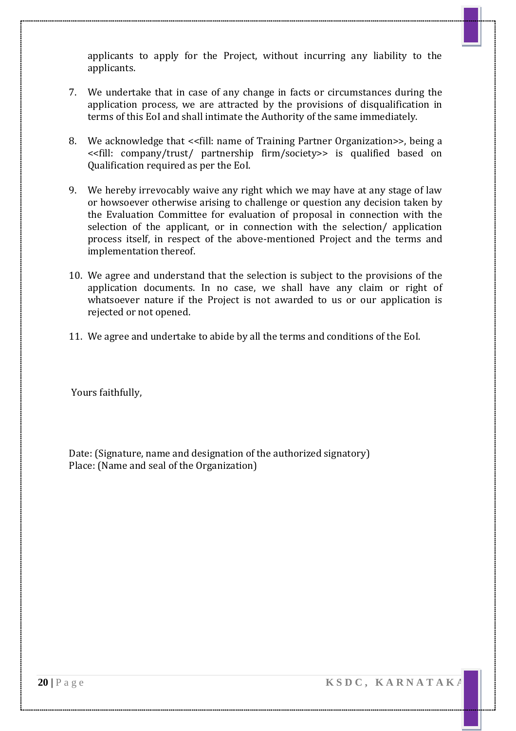applicants to apply for the Project, without incurring any liability to the applicants.

- 7. We undertake that in case of any change in facts or circumstances during the application process, we are attracted by the provisions of disqualification in terms of this EoI and shall intimate the Authority of the same immediately.
- 8. We acknowledge that <<fill: name of Training Partner Organization>>, being a <<fill: company/trust/ partnership firm/society>> is qualified based on Qualification required as per the EoI.
- 9. We hereby irrevocably waive any right which we may have at any stage of law or howsoever otherwise arising to challenge or question any decision taken by the Evaluation Committee for evaluation of proposal in connection with the selection of the applicant, or in connection with the selection/ application process itself, in respect of the above-mentioned Project and the terms and implementation thereof.
- 10. We agree and understand that the selection is subject to the provisions of the application documents. In no case, we shall have any claim or right of whatsoever nature if the Project is not awarded to us or our application is rejected or not opened.
- 11. We agree and undertake to abide by all the terms and conditions of the EoI.

Yours faithfully,

Date: (Signature, name and designation of the authorized signatory) Place: (Name and seal of the Organization)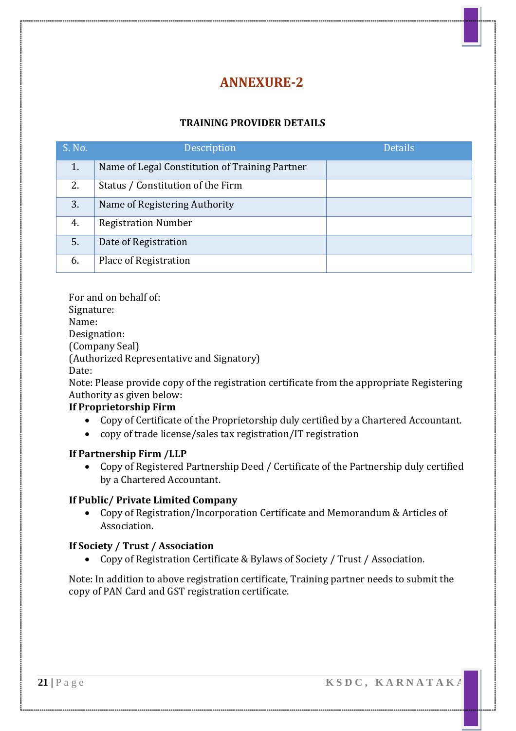#### **TRAINING PROVIDER DETAILS**

| S. No. | Description                                    | <b>Details</b> |
|--------|------------------------------------------------|----------------|
| 1.     | Name of Legal Constitution of Training Partner |                |
| 2.     | Status / Constitution of the Firm              |                |
| 3.     | Name of Registering Authority                  |                |
| 4.     | <b>Registration Number</b>                     |                |
| 5.     | Date of Registration                           |                |
| 6.     | Place of Registration                          |                |

For and on behalf of: Signature: Name: Designation: (Company Seal) (Authorized Representative and Signatory) Date: Note: Please provide copy of the registration certificate from the appropriate Registering Authority as given below:

#### **If Proprietorship Firm**

- Copy of Certificate of the Proprietorship duly certified by a Chartered Accountant.
- copy of trade license/sales tax registration/IT registration

#### **If Partnership Firm /LLP**

 Copy of Registered Partnership Deed / Certificate of the Partnership duly certified by a Chartered Accountant.

#### **If Public/ Private Limited Company**

 Copy of Registration/Incorporation Certificate and Memorandum & Articles of Association.

#### **If Society / Trust / Association**

Copy of Registration Certificate & Bylaws of Society / Trust / Association.

Note: In addition to above registration certificate, Training partner needs to submit the copy of PAN Card and GST registration certificate.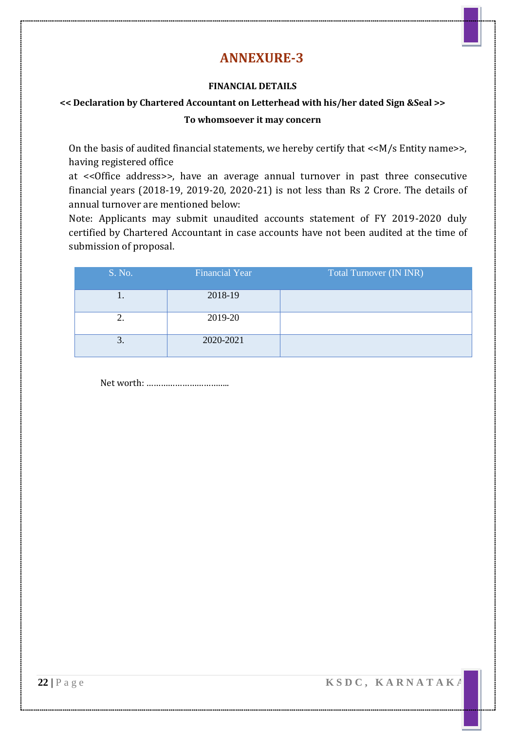#### **FINANCIAL DETAILS**

#### **<< Declaration by Chartered Accountant on Letterhead with his/her dated Sign &Seal >> To whomsoever it may concern**

On the basis of audited financial statements, we hereby certify that <<M/s Entity name>>, having registered office

at <<Office address>>, have an average annual turnover in past three consecutive financial years (2018-19, 2019-20, 2020-21) is not less than Rs 2 Crore. The details of annual turnover are mentioned below:

Note: Applicants may submit unaudited accounts statement of FY 2019-2020 duly certified by Chartered Accountant in case accounts have not been audited at the time of submission of proposal.

| S. No.               | <b>Financial Year</b> | <b>Total Turnover (IN INR)</b> |
|----------------------|-----------------------|--------------------------------|
| . .                  | 2018-19               |                                |
| ۷.                   | 2019-20               |                                |
| ⌒<br>$\mathfrak{I}.$ | 2020-2021             |                                |

Net worth: ……………………………..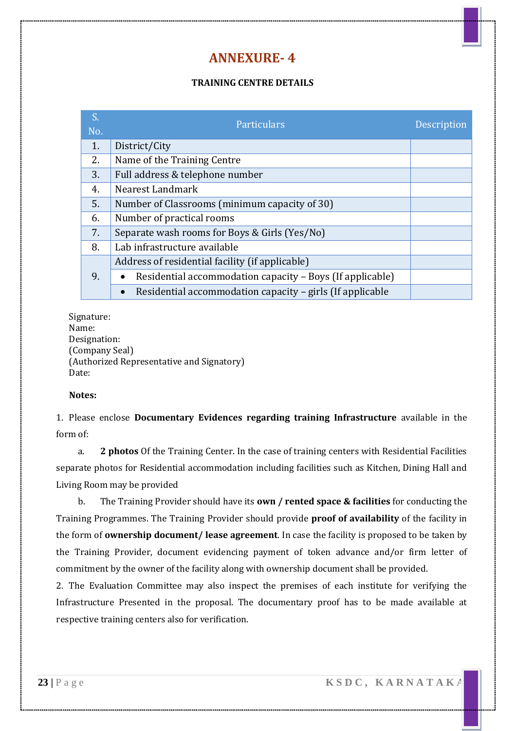#### **TRAINING CENTRE DETAILS**

| S.<br>No. | Particulars                                               | Description |
|-----------|-----------------------------------------------------------|-------------|
| 1.        | District/City                                             |             |
| 2.        | Name of the Training Centre                               |             |
| 3.        | Full address & telephone number                           |             |
| 4.        | Nearest Landmark                                          |             |
| 5.        | Number of Classrooms (minimum capacity of 30)             |             |
| 6.        | Number of practical rooms                                 |             |
| 7.        | Separate wash rooms for Boys & Girls (Yes/No)             |             |
| 8.        | Lab infrastructure available                              |             |
|           | Address of residential facility (if applicable)           |             |
| 9.        | Residential accommodation capacity - Boys (If applicable) |             |
|           | Residential accommodation capacity – girls (If applicable |             |

Signature: Name: Designation: (Company Seal) (Authorized Representative and Signatory) Date:

#### **Notes:**

1. Please enclose **Documentary Evidences regarding training Infrastructure** available in the form of:

a. **2 photos** Of the Training Center. In the case of training centers with Residential Facilities separate photos for Residential accommodation including facilities such as Kitchen, Dining Hall and Living Room may be provided

b. The Training Provider should have its **own / rented space & facilities** for conducting the Training Programmes. The Training Provider should provide **proof of availability** of the facility in the form of **ownership document/ lease agreement**. In case the facility is proposed to be taken by the Training Provider, document evidencing payment of token advance and/or firm letter of commitment by the owner of the facility along with ownership document shall be provided.

2. The Evaluation Committee may also inspect the premises of each institute for verifying the Infrastructure Presented in the proposal. The documentary proof has to be made available at respective training centers also for verification.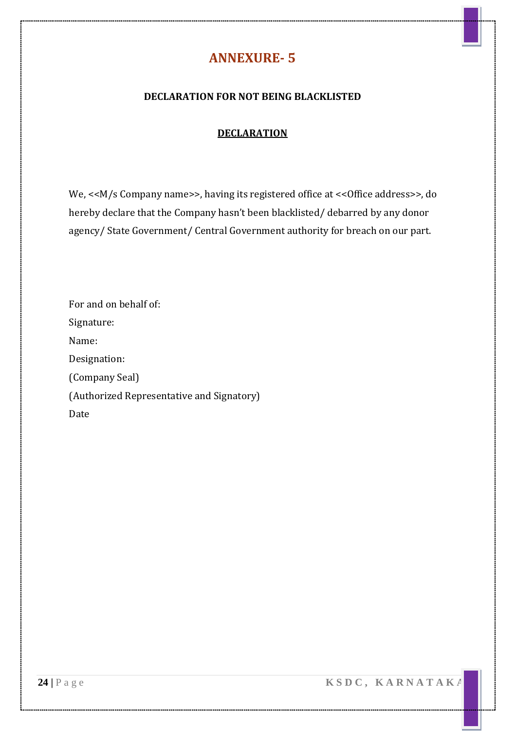#### **DECLARATION FOR NOT BEING BLACKLISTED**

#### **DECLARATION**

We, <<M/s Company name>>, having its registered office at << Office address>>, do hereby declare that the Company hasn't been blacklisted/ debarred by any donor agency/ State Government/ Central Government authority for breach on our part.

| For and on behalf of:                     |
|-------------------------------------------|
| Signature:                                |
| Name:                                     |
| Designation:                              |
| (Company Seal)                            |
| (Authorized Representative and Signatory) |
| Date                                      |